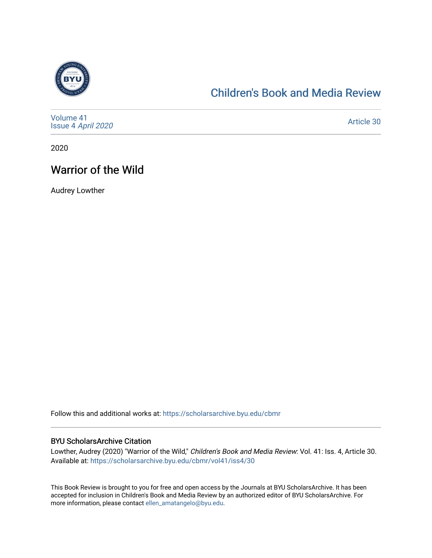

## [Children's Book and Media Review](https://scholarsarchive.byu.edu/cbmr)

| Volume 41<br>Issue 4 April 2020 | Article 30 |
|---------------------------------|------------|
|---------------------------------|------------|

2020

## Warrior of the Wild

Audrey Lowther

Follow this and additional works at: [https://scholarsarchive.byu.edu/cbmr](https://scholarsarchive.byu.edu/cbmr?utm_source=scholarsarchive.byu.edu%2Fcbmr%2Fvol41%2Fiss4%2F30&utm_medium=PDF&utm_campaign=PDFCoverPages) 

#### BYU ScholarsArchive Citation

Lowther, Audrey (2020) "Warrior of the Wild," Children's Book and Media Review: Vol. 41: Iss. 4, Article 30. Available at: [https://scholarsarchive.byu.edu/cbmr/vol41/iss4/30](https://scholarsarchive.byu.edu/cbmr/vol41/iss4/30?utm_source=scholarsarchive.byu.edu%2Fcbmr%2Fvol41%2Fiss4%2F30&utm_medium=PDF&utm_campaign=PDFCoverPages)

This Book Review is brought to you for free and open access by the Journals at BYU ScholarsArchive. It has been accepted for inclusion in Children's Book and Media Review by an authorized editor of BYU ScholarsArchive. For more information, please contact [ellen\\_amatangelo@byu.edu.](mailto:ellen_amatangelo@byu.edu)